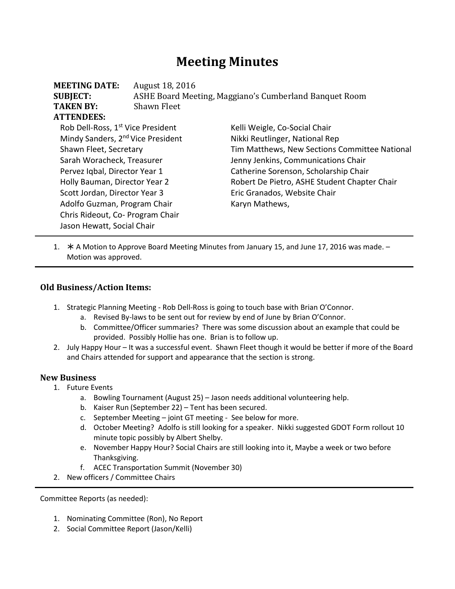# **Meeting Minutes**

| <b>MEETING DATE:</b><br><b>SUBJECT:</b>       | August 18, 2016<br>ASHE Board Meeting, Maggiano's Cumberland Banquet Room |                                               |  |
|-----------------------------------------------|---------------------------------------------------------------------------|-----------------------------------------------|--|
| <b>TAKEN BY:</b>                              | <b>Shawn Fleet</b>                                                        |                                               |  |
| <b>ATTENDEES:</b>                             |                                                                           |                                               |  |
| Rob Dell-Ross, 1 <sup>st</sup> Vice President |                                                                           | Kelli Weigle, Co-Social Chair                 |  |
| Mindy Sanders, 2 <sup>nd</sup> Vice President |                                                                           | Nikki Reutlinger, National Rep                |  |
| Shawn Fleet, Secretary                        |                                                                           | Tim Matthews, New Sections Committee National |  |
| Sarah Woracheck, Treasurer                    |                                                                           | Jenny Jenkins, Communications Chair           |  |
| Pervez Iqbal, Director Year 1                 |                                                                           | Catherine Sorenson, Scholarship Chair         |  |
| Holly Bauman, Director Year 2                 |                                                                           | Robert De Pietro, ASHE Student Chapter Chair  |  |
| Scott Jordan, Director Year 3                 |                                                                           | Eric Granados, Website Chair                  |  |
| Adolfo Guzman, Program Chair                  |                                                                           | Karyn Mathews,                                |  |
| Chris Rideout, Co- Program Chair              |                                                                           |                                               |  |
| Jason Hewatt, Social Chair                    |                                                                           |                                               |  |

1.  $*$  A Motion to Approve Board Meeting Minutes from January 15, and June 17, 2016 was made. – Motion was approved.

#### **Old Business/Action Items:**

- 1. Strategic Planning Meeting Rob Dell-Ross is going to touch base with Brian O'Connor.
	- a. Revised By-laws to be sent out for review by end of June by Brian O'Connor.
	- b. Committee/Officer summaries? There was some discussion about an example that could be provided. Possibly Hollie has one. Brian is to follow up.
- 2. July Happy Hour It was a successful event. Shawn Fleet though it would be better if more of the Board and Chairs attended for support and appearance that the section is strong.

#### **New Business**

- 1. Future Events
	- a. Bowling Tournament (August 25) Jason needs additional volunteering help.
	- b. Kaiser Run (September 22) Tent has been secured.
	- c. September Meeting joint GT meeting See below for more.
	- d. October Meeting? Adolfo is still looking for a speaker. Nikki suggested GDOT Form rollout 10 minute topic possibly by Albert Shelby.
	- e. November Happy Hour? Social Chairs are still looking into it, Maybe a week or two before Thanksgiving.
	- f. ACEC Transportation Summit (November 30)
- 2. New officers / Committee Chairs

Committee Reports (as needed):

- 1. Nominating Committee (Ron), No Report
- 2. Social Committee Report (Jason/Kelli)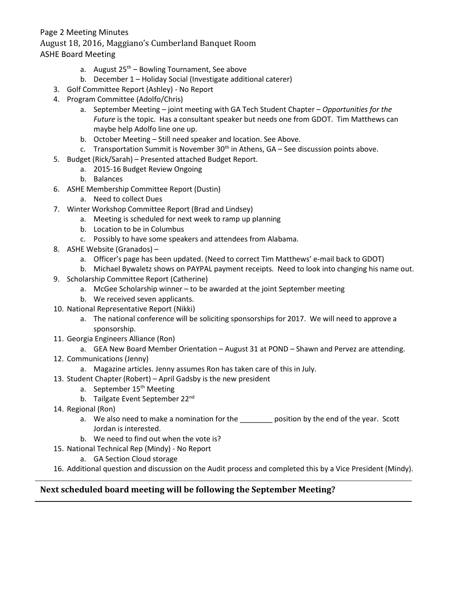#### Page 2 Meeting Minutes

August 18, 2016, Maggiano's Cumberland Banquet Room

ASHE Board Meeting

- a. August  $25<sup>th</sup>$  Bowling Tournament, See above
- b. December 1 Holiday Social (Investigate additional caterer)
- 3. Golf Committee Report (Ashley) No Report
- 4. Program Committee (Adolfo/Chris)
	- a. September Meeting joint meeting with GA Tech Student Chapter *Opportunities for the Future* is the topic. Has a consultant speaker but needs one from GDOT. Tim Matthews can maybe help Adolfo line one up.
	- b. October Meeting Still need speaker and location. See Above.
	- c. Transportation Summit is November  $30<sup>th</sup>$  in Athens, GA See discussion points above.
- 5. Budget (Rick/Sarah) Presented attached Budget Report.
	- a. 2015-16 Budget Review Ongoing
		- b. Balances
- 6. ASHE Membership Committee Report (Dustin)
	- a. Need to collect Dues
- 7. Winter Workshop Committee Report (Brad and Lindsey)
	- a. Meeting is scheduled for next week to ramp up planning
	- b. Location to be in Columbus
	- c. Possibly to have some speakers and attendees from Alabama.
- 8. ASHE Website (Granados)
	- a. Officer's page has been updated. (Need to correct Tim Matthews' e-mail back to GDOT)
	- b. Michael Bywaletz shows on PAYPAL payment receipts. Need to look into changing his name out.
- 9. Scholarship Committee Report (Catherine)
	- a. McGee Scholarship winner to be awarded at the joint September meeting
	- b. We received seven applicants.
- 10. National Representative Report (Nikki)
	- a. The national conference will be soliciting sponsorships for 2017. We will need to approve a sponsorship.
- 11. Georgia Engineers Alliance (Ron)
	- a. GEA New Board Member Orientation August 31 at POND Shawn and Pervez are attending.
- 12. Communications (Jenny)
	- a. Magazine articles. Jenny assumes Ron has taken care of this in July.
- 13. Student Chapter (Robert) April Gadsby is the new president
	- a. September 15<sup>th</sup> Meeting
	- b. Tailgate Event September 22<sup>nd</sup>
- 14. Regional (Ron)
	- a. We also need to make a nomination for the \_\_\_\_\_\_\_\_\_ position by the end of the year. Scott Jordan is interested.
	- b. We need to find out when the vote is?
- 15. National Technical Rep (Mindy) No Report
	- a. GA Section Cloud storage
- 16. Additional question and discussion on the Audit process and completed this by a Vice President (Mindy).

### **Next scheduled board meeting will be following the September Meeting?**